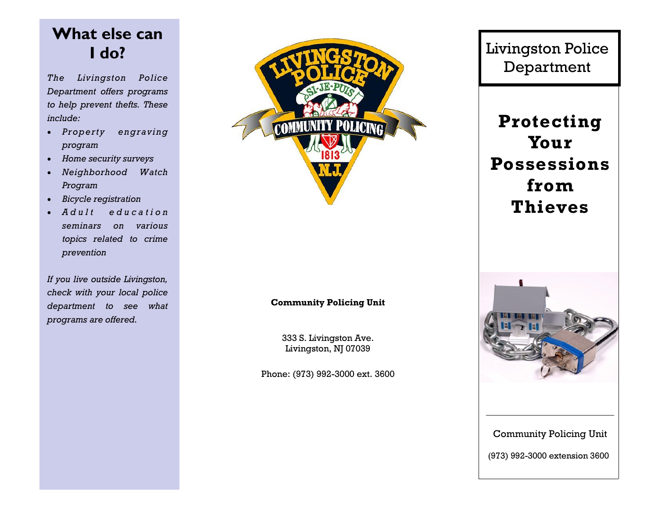# **What else can I do?**

*The Livingston Police Department offers programs to help prevent thefts. These include:*

- *Property engraving program*
- *Home security surveys*
- *Neighborhood Watch Program*
- *Bicycle registration*
- *A d u l t e d u c a t i o n seminars on various topics related to crime prevention*

*If you live outside Livingston, check with your local police department to see what programs are offered.*



#### **Community Policing Unit**

333 S. Livingston Ave. Livingston, NJ 07039

Phone: (973) 992-3000 ext. 3600

Livingston Police Department

**Protecting Your Possessions from Thieves**



Community Policing Unit

(973) 992-3000 extension 3600